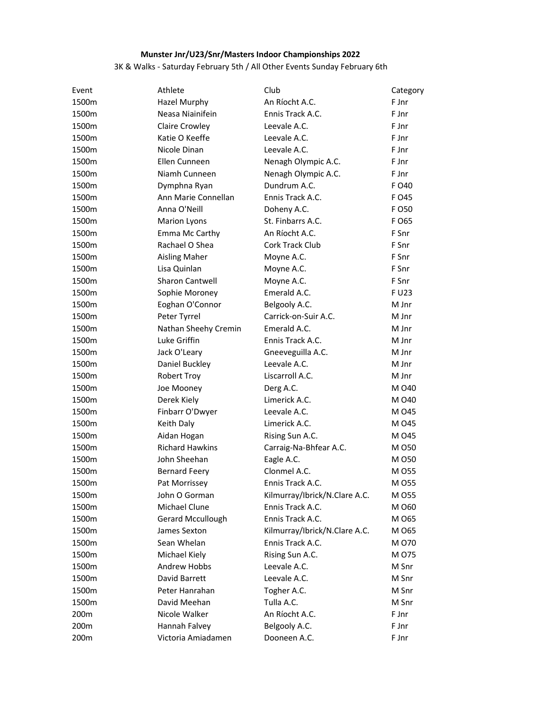## Munster Jnr/U23/Snr/Masters Indoor Championships 2022

## 3K & Walks - Saturday February 5th / All Other Events Sunday February 6th

| Event | Athlete                | Club                          | Category |
|-------|------------------------|-------------------------------|----------|
| 1500m | <b>Hazel Murphy</b>    | An Ríocht A.C.                | F Jnr    |
| 1500m | Neasa Niainifein       | Ennis Track A.C.              | F Jnr    |
| 1500m | Claire Crowley         | Leevale A.C.                  | F Jnr    |
| 1500m | Katie O Keeffe         | Leevale A.C.                  | F Jnr    |
| 1500m | Nicole Dinan           | Leevale A.C.                  | F Jnr    |
| 1500m | Ellen Cunneen          | Nenagh Olympic A.C.           | F Jnr    |
| 1500m | Niamh Cunneen          | Nenagh Olympic A.C.           | F Jnr    |
| 1500m | Dymphna Ryan           | Dundrum A.C.                  | F 040    |
| 1500m | Ann Marie Connellan    | Ennis Track A.C.              | F 045    |
| 1500m | Anna O'Neill           | Doheny A.C.                   | F O 50   |
| 1500m | <b>Marion Lyons</b>    | St. Finbarrs A.C.             | F O65    |
| 1500m | Emma Mc Carthy         | An Ríocht A.C.                | F Snr    |
| 1500m | Rachael O Shea         | Cork Track Club               | F Snr    |
| 1500m | <b>Aisling Maher</b>   | Moyne A.C.                    | F Snr    |
| 1500m | Lisa Quinlan           | Moyne A.C.                    | F Snr    |
| 1500m | <b>Sharon Cantwell</b> | Moyne A.C.                    | F Snr    |
| 1500m | Sophie Moroney         | Emerald A.C.                  | F U23    |
| 1500m | Eoghan O'Connor        | Belgooly A.C.                 | M Jnr    |
| 1500m | Peter Tyrrel           | Carrick-on-Suir A.C.          | M Jnr    |
| 1500m | Nathan Sheehy Cremin   | Emerald A.C.                  | M Jnr    |
| 1500m | Luke Griffin           | Ennis Track A.C.              | M Jnr    |
| 1500m | Jack O'Leary           | Gneeveguilla A.C.             | M Jnr    |
| 1500m | Daniel Buckley         | Leevale A.C.                  | M Jnr    |
| 1500m | <b>Robert Troy</b>     | Liscarroll A.C.               | M Jnr    |
| 1500m | Joe Mooney             | Derg A.C.                     | M 040    |
| 1500m | Derek Kiely            | Limerick A.C.                 | M 040    |
| 1500m | Finbarr O'Dwyer        | Leevale A.C.                  | M 045    |
| 1500m | Keith Daly             | Limerick A.C.                 | M 045    |
| 1500m | Aidan Hogan            | Rising Sun A.C.               | M 045    |
| 1500m | <b>Richard Hawkins</b> | Carraig-Na-Bhfear A.C.        | M 050    |
| 1500m | John Sheehan           | Eagle A.C.                    | M 050    |
| 1500m | <b>Bernard Feery</b>   | Clonmel A.C.                  | M 055    |
| 1500m | Pat Morrissey          | Ennis Track A.C.              | M 055    |
| 1500m | John O Gorman          | Kilmurray/Ibrick/N.Clare A.C. | M 055    |
| 1500m | Michael Clune          | Ennis Track A.C.              | M 060    |
| 1500m | Gerard Mccullough      | Ennis Track A.C.              | M 065    |
| 1500m | James Sexton           | Kilmurray/Ibrick/N.Clare A.C. | M 065    |
| 1500m | Sean Whelan            | Ennis Track A.C.              | M 070    |
| 1500m | Michael Kiely          | Rising Sun A.C.               | M 075    |
| 1500m | Andrew Hobbs           | Leevale A.C.                  | M Snr    |
| 1500m | David Barrett          | Leevale A.C.                  | M Snr    |
| 1500m | Peter Hanrahan         | Togher A.C.                   | M Snr    |
| 1500m | David Meehan           | Tulla A.C.                    | M Snr    |
| 200m  | Nicole Walker          | An Ríocht A.C.                | F Jnr    |
| 200m  | Hannah Falvey          | Belgooly A.C.                 | F Jnr    |
| 200m  | Victoria Amiadamen     | Dooneen A.C.                  | F Jnr    |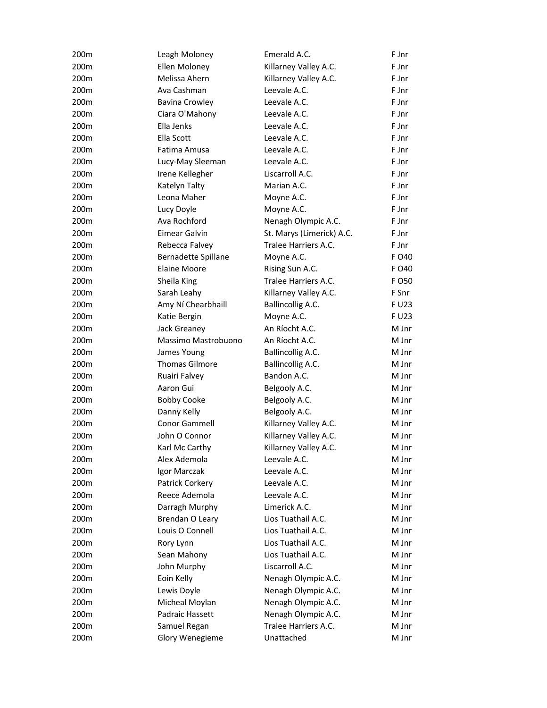| 200m | Leagh Moloney         | Emerald A.C.              | F Jnr |
|------|-----------------------|---------------------------|-------|
| 200m | Ellen Moloney         | Killarney Valley A.C.     | F Jnr |
| 200m | Melissa Ahern         | Killarney Valley A.C.     | F Jnr |
| 200m | Ava Cashman           | Leevale A.C.              | F Jnr |
| 200m | <b>Bavina Crowley</b> | Leevale A.C.              | F Jnr |
| 200m | Ciara O'Mahony        | Leevale A.C.              | F Jnr |
| 200m | Ella Jenks            | Leevale A.C.              | F Jnr |
| 200m | Ella Scott            | Leevale A.C.              | F Jnr |
| 200m | Fatima Amusa          | Leevale A.C.              | F Jnr |
| 200m | Lucy-May Sleeman      | Leevale A.C.              | F Jnr |
| 200m | Irene Kellegher       | Liscarroll A.C.           | F Jnr |
| 200m | Katelyn Talty         | Marian A.C.               | F Jnr |
| 200m | Leona Maher           | Moyne A.C.                | F Jnr |
| 200m | Lucy Doyle            | Moyne A.C.                | F Jnr |
| 200m | Ava Rochford          | Nenagh Olympic A.C.       | F Jnr |
| 200m | Eimear Galvin         | St. Marys (Limerick) A.C. | F Jnr |
| 200m | Rebecca Falvey        | Tralee Harriers A.C.      | F Jnr |
| 200m | Bernadette Spillane   | Moyne A.C.                | F O40 |
| 200m | <b>Elaine Moore</b>   | Rising Sun A.C.           | F O40 |
| 200m | Sheila King           | Tralee Harriers A.C.      | F 050 |
| 200m | Sarah Leahy           | Killarney Valley A.C.     | F Snr |
| 200m | Amy Ní Chearbhaill    | Ballincollig A.C.         | F U23 |
| 200m | Katie Bergin          | Moyne A.C.                | F U23 |
| 200m | Jack Greaney          | An Ríocht A.C.            | M Jnr |
| 200m | Massimo Mastrobuono   | An Ríocht A.C.            | M Jnr |
| 200m | James Young           | Ballincollig A.C.         | M Jnr |
| 200m | <b>Thomas Gilmore</b> | Ballincollig A.C.         | M Jnr |
| 200m | Ruairi Falvey         | Bandon A.C.               | M Jnr |
| 200m | Aaron Gui             | Belgooly A.C.             | M Jnr |
| 200m | <b>Bobby Cooke</b>    | Belgooly A.C.             | M Jnr |
| 200m | Danny Kelly           | Belgooly A.C.             | M Jnr |
| 200m | Conor Gammell         | Killarney Valley A.C.     | M Jnr |
| 200m | John O Connor         | Killarney Valley A.C.     | M Jnr |
| 200m | Karl Mc Carthy        | Killarney Valley A.C.     | M Jnr |
| 200m | Alex Ademola          | Leevale A.C.              | M Jnr |
| 200m | Igor Marczak          | Leevale A.C.              | M Jnr |
| 200m | Patrick Corkery       | Leevale A.C.              | M Jnr |
| 200m | Reece Ademola         | Leevale A.C.              | M Jnr |
| 200m | Darragh Murphy        | Limerick A.C.             | M Jnr |
| 200m | Brendan O Leary       | Lios Tuathail A.C.        | M Jnr |
| 200m | Louis O Connell       | Lios Tuathail A.C.        | M Jnr |
| 200m | Rory Lynn             | Lios Tuathail A.C.        | M Jnr |
| 200m | Sean Mahony           | Lios Tuathail A.C.        | M Jnr |
| 200m | John Murphy           | Liscarroll A.C.           | M Jnr |
| 200m | Eoin Kelly            | Nenagh Olympic A.C.       | M Jnr |
| 200m | Lewis Doyle           | Nenagh Olympic A.C.       | M Jnr |
| 200m | Micheal Moylan        | Nenagh Olympic A.C.       | M Jnr |
| 200m | Padraic Hassett       | Nenagh Olympic A.C.       | M Jnr |
| 200m | Samuel Regan          | Tralee Harriers A.C.      | M Jnr |
| 200m | Glory Wenegieme       | Unattached                | M Jnr |
|      |                       |                           |       |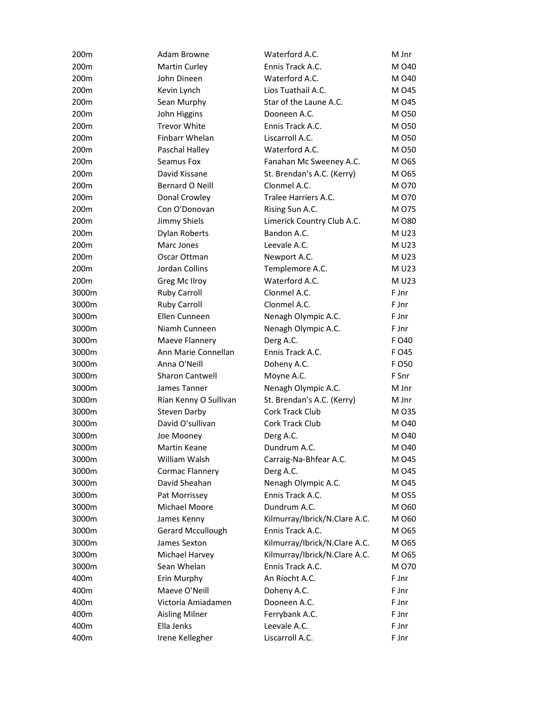| 200m  | Adam Browne            | Waterford A.C.                | M Jnr  |
|-------|------------------------|-------------------------------|--------|
| 200m  | <b>Martin Curley</b>   | Ennis Track A.C.              | M 040  |
| 200m  | John Dineen            | Waterford A.C.                | M 040  |
| 200m  | Kevin Lynch            | Lios Tuathail A.C.            | M 045  |
| 200m  | Sean Murphy            | Star of the Laune A.C.        | M 045  |
| 200m  | John Higgins           | Dooneen A.C.                  | M 050  |
| 200m  | <b>Trevor White</b>    | Ennis Track A.C.              | M 050  |
| 200m  | Finbarr Whelan         | Liscarroll A.C.               | M 050  |
| 200m  | Paschal Halley         | Waterford A.C.                | M 050  |
| 200m  | Seamus Fox             | Fanahan Mc Sweeney A.C.       | M 065  |
| 200m  | David Kissane          | St. Brendan's A.C. (Kerry)    | M 065  |
| 200m  | Bernard O Neill        | Clonmel A.C.                  | M 070  |
| 200m  | Donal Crowley          | Tralee Harriers A.C.          | M 070  |
| 200m  | Con O'Donovan          | Rising Sun A.C.               | M 075  |
| 200m  | Jimmy Shiels           | Limerick Country Club A.C.    | M 080  |
| 200m  | <b>Dylan Roberts</b>   | Bandon A.C.                   | M U23  |
| 200m  | Marc Jones             | Leevale A.C.                  | M U23  |
| 200m  | Oscar Ottman           | Newport A.C.                  | M U23  |
| 200m  | Jordan Collins         | Templemore A.C.               | M U23  |
| 200m  | Greg Mc Ilroy          | Waterford A.C.                | M U23  |
| 3000m | <b>Ruby Carroll</b>    | Clonmel A.C.                  | F Jnr  |
| 3000m | <b>Ruby Carroll</b>    | Clonmel A.C.                  | F Jnr  |
| 3000m | Ellen Cunneen          | Nenagh Olympic A.C.           | F Jnr  |
| 3000m | Niamh Cunneen          | Nenagh Olympic A.C.           | F Jnr  |
| 3000m | Maeve Flannery         | Derg A.C.                     | F O40  |
| 3000m | Ann Marie Connellan    | Ennis Track A.C.              | F 045  |
| 3000m | Anna O'Neill           | Doheny A.C.                   | F O 50 |
| 3000m | <b>Sharon Cantwell</b> | Moyne A.C.                    | F Snr  |
| 3000m | James Tanner           | Nenagh Olympic A.C.           | M Jnr  |
| 3000m | Rían Kenny O Sullivan  | St. Brendan's A.C. (Kerry)    | M Jnr  |
| 3000m | <b>Steven Darby</b>    | Cork Track Club               | M 035  |
| 3000m | David O'sullivan       | Cork Track Club               | M 040  |
| 3000m | Joe Mooney             | Derg A.C.                     | M 040  |
| 3000m | <b>Martin Keane</b>    | Dundrum A.C.                  | M 040  |
| 3000m | William Walsh          | Carraig-Na-Bhfear A.C.        | M 045  |
| 3000m | Cormac Flannery        | Derg A.C.                     | M 045  |
| 3000m | David Sheahan          | Nenagh Olympic A.C.           | M 045  |
| 3000m | Pat Morrissey          | Ennis Track A.C.              | M 055  |
| 3000m | Michael Moore          | Dundrum A.C.                  | M 060  |
| 3000m | James Kenny            | Kilmurray/Ibrick/N.Clare A.C. | M 060  |
| 3000m | Gerard Mccullough      | Ennis Track A.C.              | M 065  |
| 3000m | James Sexton           | Kilmurray/Ibrick/N.Clare A.C. | M 065  |
| 3000m | Michael Harvey         | Kilmurray/Ibrick/N.Clare A.C. | M 065  |
| 3000m | Sean Whelan            | Ennis Track A.C.              | M 070  |
| 400m  | Erin Murphy            | An Ríocht A.C.                | F Jnr  |
| 400m  | Maeve O'Neill          | Doheny A.C.                   | F Jnr  |
| 400m  | Victoria Amiadamen     | Dooneen A.C.                  | F Jnr  |
| 400m  | <b>Aisling Milner</b>  | Ferrybank A.C.                | F Jnr  |
| 400m  | Ella Jenks             | Leevale A.C.                  | F Jnr  |
| 400m  | Irene Kellegher        | Liscarroll A.C.               | F Jnr  |
|       |                        |                               |        |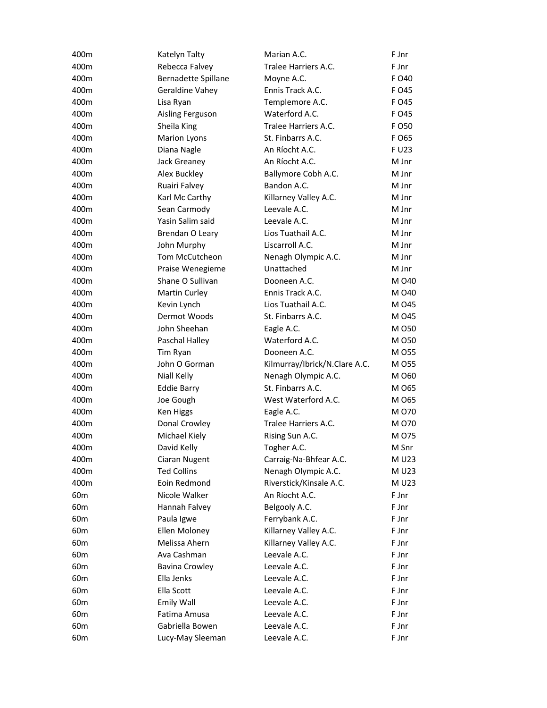| 400m            | Katelyn Talty         | Marian A.C.                   | F Jnr  |
|-----------------|-----------------------|-------------------------------|--------|
| 400m            | Rebecca Falvey        | Tralee Harriers A.C.          | F Jnr  |
| 400m            | Bernadette Spillane   | Moyne A.C.                    | F O40  |
| 400m            | Geraldine Vahey       | Ennis Track A.C.              | F 045  |
| 400m            | Lisa Ryan             | Templemore A.C.               | F 045  |
| 400m            | Aisling Ferguson      | Waterford A.C.                | F 045  |
| 400m            | Sheila King           | Tralee Harriers A.C.          | F O 50 |
| 400m            | <b>Marion Lyons</b>   | St. Finbarrs A.C.             | F O65  |
| 400m            | Diana Nagle           | An Ríocht A.C.                | F U23  |
| 400m            | Jack Greaney          | An Ríocht A.C.                | M Jnr  |
| 400m            | Alex Buckley          | Ballymore Cobh A.C.           | M Jnr  |
| 400m            | Ruairi Falvey         | Bandon A.C.                   | M Jnr  |
| 400m            | Karl Mc Carthy        | Killarney Valley A.C.         | M Jnr  |
| 400m            | Sean Carmody          | Leevale A.C.                  | M Jnr  |
| 400m            | Yasin Salim said      | Leevale A.C.                  | M Jnr  |
| 400m            | Brendan O Leary       | Lios Tuathail A.C.            | M Jnr  |
| 400m            | John Murphy           | Liscarroll A.C.               | M Jnr  |
| 400m            | Tom McCutcheon        | Nenagh Olympic A.C.           | M Jnr  |
| 400m            | Praise Wenegieme      | Unattached                    | M Jnr  |
| 400m            | Shane O Sullivan      | Dooneen A.C.                  | M 040  |
| 400m            | Martin Curley         | Ennis Track A.C.              | M 040  |
| 400m            | Kevin Lynch           | Lios Tuathail A.C.            | M 045  |
| 400m            | Dermot Woods          | St. Finbarrs A.C.             | M 045  |
| 400m            | John Sheehan          | Eagle A.C.                    | M 050  |
| 400m            | Paschal Halley        | Waterford A.C.                | M 050  |
| 400m            | Tim Ryan              | Dooneen A.C.                  | M 055  |
| 400m            | John O Gorman         | Kilmurray/Ibrick/N.Clare A.C. | M 055  |
| 400m            | Niall Kelly           | Nenagh Olympic A.C.           | M 060  |
| 400m            | <b>Eddie Barry</b>    | St. Finbarrs A.C.             | M 065  |
| 400m            | Joe Gough             | West Waterford A.C.           | M 065  |
| 400m            | Ken Higgs             | Eagle A.C.                    | M 070  |
| 400m            | Donal Crowley         | Tralee Harriers A.C.          | M 070  |
| 400m            | Michael Kiely         | Rising Sun A.C.               | M 075  |
| 400m            | David Kelly           | Togher A.C.                   | M Snr  |
| 400m            | Ciaran Nugent         | Carraig-Na-Bhfear A.C.        | M U23  |
| 400m            | <b>Ted Collins</b>    | Nenagh Olympic A.C.           | M U23  |
| 400m            | Eoin Redmond          | Riverstick/Kinsale A.C.       | M U23  |
| 60 <sub>m</sub> | Nicole Walker         | An Ríocht A.C.                | F Jnr  |
| 60 <sub>m</sub> | Hannah Falvey         | Belgooly A.C.                 | F Jnr  |
| 60 <sub>m</sub> | Paula Igwe            | Ferrybank A.C.                | F Jnr  |
| 60 <sub>m</sub> | Ellen Moloney         | Killarney Valley A.C.         | F Jnr  |
| 60 <sub>m</sub> | Melissa Ahern         | Killarney Valley A.C.         | F Jnr  |
| 60 <sub>m</sub> | Ava Cashman           | Leevale A.C.                  | F Jnr  |
| 60 <sub>m</sub> | <b>Bavina Crowley</b> | Leevale A.C.                  | F Jnr  |
| 60 <sub>m</sub> | Ella Jenks            | Leevale A.C.                  | F Jnr  |
| 60 <sub>m</sub> | Ella Scott            | Leevale A.C.                  | F Jnr  |
| 60 <sub>m</sub> | Emily Wall            | Leevale A.C.                  | F Jnr  |
| 60 <sub>m</sub> | Fatima Amusa          | Leevale A.C.                  | F Jnr  |
| 60 <sub>m</sub> | Gabriella Bowen       | Leevale A.C.                  | F Jnr  |
| 60 <sub>m</sub> | Lucy-May Sleeman      | Leevale A.C.                  | F Jnr  |
|                 |                       |                               |        |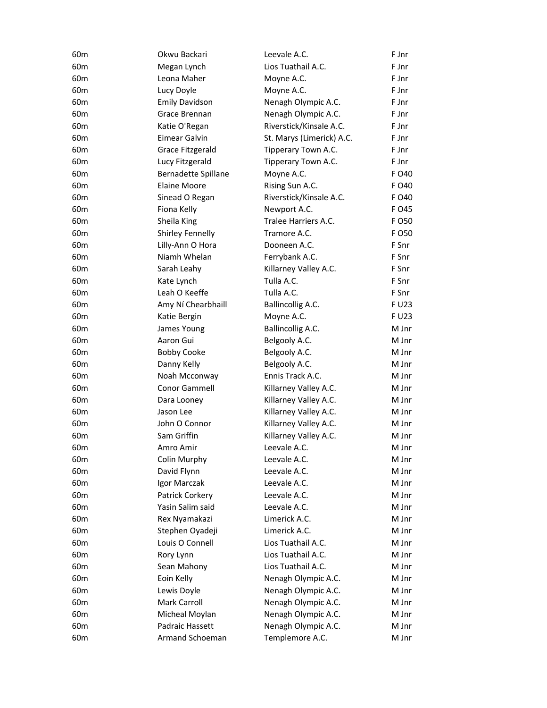| 60 <sub>m</sub> | Okwu Backari            | Leevale A.C.              | F Jnr |
|-----------------|-------------------------|---------------------------|-------|
| 60 <sub>m</sub> | Megan Lynch             | Lios Tuathail A.C.        | F Jnr |
| 60 <sub>m</sub> | Leona Maher             | Moyne A.C.                | F Jnr |
| 60 <sub>m</sub> | Lucy Doyle              | Moyne A.C.                | F Jnr |
| 60 <sub>m</sub> | <b>Emily Davidson</b>   | Nenagh Olympic A.C.       | F Jnr |
| 60 <sub>m</sub> | Grace Brennan           | Nenagh Olympic A.C.       | F Jnr |
| 60 <sub>m</sub> | Katie O'Regan           | Riverstick/Kinsale A.C.   | F Jnr |
| 60 <sub>m</sub> | Eimear Galvin           | St. Marys (Limerick) A.C. | F Jnr |
| 60 <sub>m</sub> | Grace Fitzgerald        | Tipperary Town A.C.       | F Jnr |
| 60 <sub>m</sub> | Lucy Fitzgerald         | Tipperary Town A.C.       | F Jnr |
| 60 <sub>m</sub> | Bernadette Spillane     | Moyne A.C.                | F 040 |
| 60 <sub>m</sub> | <b>Elaine Moore</b>     | Rising Sun A.C.           | F 040 |
| 60 <sub>m</sub> | Sinead O Regan          | Riverstick/Kinsale A.C.   | F 040 |
| 60 <sub>m</sub> | Fiona Kelly             | Newport A.C.              | F 045 |
| 60 <sub>m</sub> | Sheila King             | Tralee Harriers A.C.      | F 050 |
| 60 <sub>m</sub> | <b>Shirley Fennelly</b> | Tramore A.C.              | F 050 |
| 60 <sub>m</sub> | Lilly-Ann O Hora        | Dooneen A.C.              | F Snr |
| 60 <sub>m</sub> | Niamh Whelan            | Ferrybank A.C.            | F Snr |
| 60 <sub>m</sub> | Sarah Leahy             | Killarney Valley A.C.     | F Snr |
| 60 <sub>m</sub> | Kate Lynch              | Tulla A.C.                | F Snr |
| 60 <sub>m</sub> | Leah O Keeffe           | Tulla A.C.                | F Snr |
| 60 <sub>m</sub> | Amy Ní Chearbhaill      | Ballincollig A.C.         | F U23 |
| 60 <sub>m</sub> | Katie Bergin            | Moyne A.C.                | F U23 |
| 60 <sub>m</sub> | James Young             | Ballincollig A.C.         | M Jnr |
| 60 <sub>m</sub> | Aaron Gui               | Belgooly A.C.             | M Jnr |
| 60 <sub>m</sub> | <b>Bobby Cooke</b>      | Belgooly A.C.             | M Jnr |
| 60 <sub>m</sub> | Danny Kelly             | Belgooly A.C.             | M Jnr |
| 60 <sub>m</sub> | Noah Mcconway           | Ennis Track A.C.          | M Jnr |
| 60 <sub>m</sub> | Conor Gammell           | Killarney Valley A.C.     | M Jnr |
| 60 <sub>m</sub> | Dara Looney             | Killarney Valley A.C.     | M Jnr |
| 60 <sub>m</sub> | Jason Lee               | Killarney Valley A.C.     | M Jnr |
| 60 <sub>m</sub> | John O Connor           | Killarney Valley A.C.     | M Jnr |
| 60 <sub>m</sub> | Sam Griffin             | Killarney Valley A.C.     | M Jnr |
| 60 <sub>m</sub> | Amro Amir               | Leevale A.C.              | M Jnr |
| 60 <sub>m</sub> | Colin Murphy            | Leevale A.C.              | M Jnr |
| 60 <sub>m</sub> | David Flynn             | Leevale A.C.              | M Jnr |
| 60 <sub>m</sub> | Igor Marczak            | Leevale A.C.              | M Jnr |
| 60m             | Patrick Corkery         | Leevale A.C.              | M Jnr |
| 60 <sub>m</sub> | Yasin Salim said        | Leevale A.C.              | M Jnr |
| 60 <sub>m</sub> | Rex Nyamakazi           | Limerick A.C.             | M Jnr |
| 60 <sub>m</sub> | Stephen Oyadeji         | Limerick A.C.             | M Jnr |
| 60 <sub>m</sub> | Louis O Connell         | Lios Tuathail A.C.        | M Jnr |
| 60 <sub>m</sub> | Rory Lynn               | Lios Tuathail A.C.        | M Jnr |
| 60 <sub>m</sub> | Sean Mahony             | Lios Tuathail A.C.        | M Jnr |
| 60 <sub>m</sub> | Eoin Kelly              | Nenagh Olympic A.C.       | M Jnr |
| 60 <sub>m</sub> | Lewis Doyle             | Nenagh Olympic A.C.       | M Jnr |
| 60 <sub>m</sub> | Mark Carroll            | Nenagh Olympic A.C.       | M Jnr |
| 60 <sub>m</sub> | Micheal Moylan          | Nenagh Olympic A.C.       | M Jnr |
| 60 <sub>m</sub> | Padraic Hassett         | Nenagh Olympic A.C.       | M Jnr |
| 60 <sub>m</sub> | Armand Schoeman         | Templemore A.C.           | M Jnr |
|                 |                         |                           |       |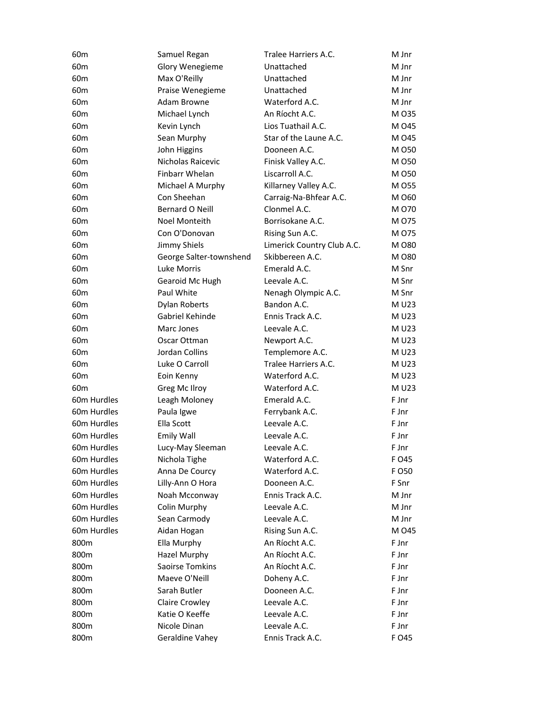| 60 <sub>m</sub> | Samuel Regan            | Tralee Harriers A.C.       | M Jnr  |
|-----------------|-------------------------|----------------------------|--------|
| 60 <sub>m</sub> | Glory Wenegieme         | Unattached                 | M Jnr  |
| 60 <sub>m</sub> | Max O'Reilly            | Unattached                 | M Jnr  |
| 60 <sub>m</sub> | Praise Wenegieme        | Unattached                 | M Jnr  |
| 60 <sub>m</sub> | Adam Browne             | Waterford A.C.             | M Jnr  |
| 60 <sub>m</sub> | Michael Lynch           | An Ríocht A.C.             | M 035  |
| 60 <sub>m</sub> | Kevin Lynch             | Lios Tuathail A.C.         | M 045  |
| 60 <sub>m</sub> | Sean Murphy             | Star of the Laune A.C.     | M 045  |
| 60 <sub>m</sub> | John Higgins            | Dooneen A.C.               | M 050  |
| 60 <sub>m</sub> | Nicholas Raicevic       | Finisk Valley A.C.         | M 050  |
| 60 <sub>m</sub> | Finbarr Whelan          | Liscarroll A.C.            | M 050  |
| 60 <sub>m</sub> | Michael A Murphy        | Killarney Valley A.C.      | M 055  |
| 60 <sub>m</sub> | Con Sheehan             | Carraig-Na-Bhfear A.C.     | M 060  |
| 60 <sub>m</sub> | Bernard O Neill         | Clonmel A.C.               | M 070  |
| 60 <sub>m</sub> | Noel Monteith           | Borrisokane A.C.           | M 075  |
| 60 <sub>m</sub> | Con O'Donovan           | Rising Sun A.C.            | M 075  |
| 60 <sub>m</sub> | Jimmy Shiels            | Limerick Country Club A.C. | M 080  |
| 60 <sub>m</sub> | George Salter-townshend | Skibbereen A.C.            | M 080  |
| 60 <sub>m</sub> | <b>Luke Morris</b>      | Emerald A.C.               | M Snr  |
| 60 <sub>m</sub> | Gearoid Mc Hugh         | Leevale A.C.               | M Snr  |
| 60 <sub>m</sub> | Paul White              | Nenagh Olympic A.C.        | M Snr  |
| 60 <sub>m</sub> | <b>Dylan Roberts</b>    | Bandon A.C.                | M U23  |
| 60 <sub>m</sub> | Gabriel Kehinde         | Ennis Track A.C.           | M U23  |
| 60 <sub>m</sub> | Marc Jones              | Leevale A.C.               | M U23  |
| 60 <sub>m</sub> | Oscar Ottman            | Newport A.C.               | M U23  |
| 60 <sub>m</sub> | Jordan Collins          | Templemore A.C.            | M U23  |
| 60 <sub>m</sub> | Luke O Carroll          | Tralee Harriers A.C.       | M U23  |
| 60 <sub>m</sub> | Eoin Kenny              | Waterford A.C.             | M U23  |
| 60 <sub>m</sub> | Greg Mc Ilroy           | Waterford A.C.             | M U23  |
| 60m Hurdles     | Leagh Moloney           | Emerald A.C.               | F Jnr  |
| 60m Hurdles     | Paula Igwe              | Ferrybank A.C.             | F Jnr  |
| 60m Hurdles     | Ella Scott              | Leevale A.C.               | F Jnr  |
| 60m Hurdles     | Emily Wall              | Leevale A.C.               | F Jnr  |
| 60m Hurdles     | Lucy-May Sleeman        | Leevale A.C.               | F Jnr  |
| 60m Hurdles     | Nichola Tighe           | Waterford A.C.             | F 045  |
| 60m Hurdles     | Anna De Courcy          | Waterford A.C.             | F O 50 |
| 60m Hurdles     | Lilly-Ann O Hora        | Dooneen A.C.               | F Snr  |
| 60m Hurdles     | Noah Mcconway           | Ennis Track A.C.           | M Jnr  |
| 60m Hurdles     | Colin Murphy            | Leevale A.C.               | M Jnr  |
| 60m Hurdles     | Sean Carmody            | Leevale A.C.               | M Jnr  |
| 60m Hurdles     | Aidan Hogan             | Rising Sun A.C.            | M 045  |
| 800m            | Ella Murphy             | An Ríocht A.C.             | F Jnr  |
| 800m            | <b>Hazel Murphy</b>     | An Ríocht A.C.             | F Jnr  |
| 800m            | Saoirse Tomkins         | An Ríocht A.C.             | F Jnr  |
| 800m            | Maeve O'Neill           | Doheny A.C.                | F Jnr  |
| 800m            | Sarah Butler            | Dooneen A.C.               | F Jnr  |
| 800m            | Claire Crowley          | Leevale A.C.               | F Jnr  |
| 800m            | Katie O Keeffe          | Leevale A.C.               | F Jnr  |
| 800m            | Nicole Dinan            | Leevale A.C.               | F Jnr  |
| 800m            | Geraldine Vahey         | Ennis Track A.C.           | F 045  |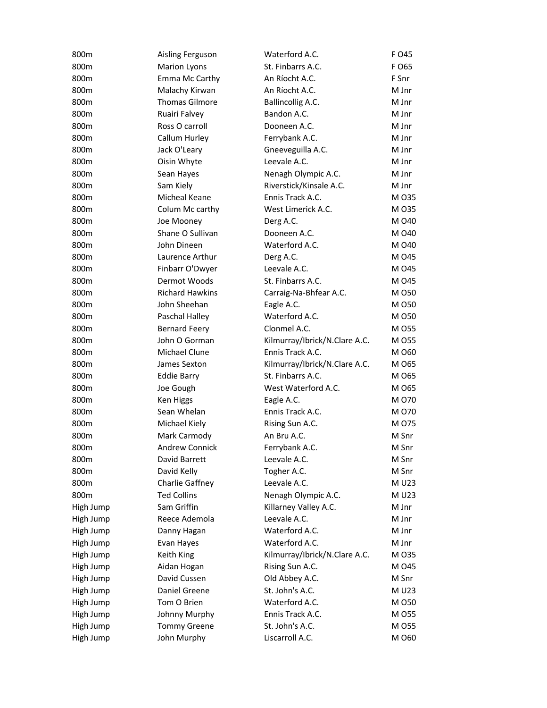| 800m      | Aisling Ferguson       | Waterford A.C.                | F O45 |
|-----------|------------------------|-------------------------------|-------|
| 800m      | <b>Marion Lyons</b>    | St. Finbarrs A.C.             | F O65 |
| 800m      | Emma Mc Carthy         | An Ríocht A.C.                | F Snr |
| 800m      | Malachy Kirwan         | An Ríocht A.C.                | M Jnr |
| 800m      | <b>Thomas Gilmore</b>  | Ballincollig A.C.             | M Jnr |
| 800m      | Ruairi Falvey          | Bandon A.C.                   | M Jnr |
| 800m      | Ross O carroll         | Dooneen A.C.                  | M Jnr |
| 800m      | Callum Hurley          | Ferrybank A.C.                | M Jnr |
| 800m      | Jack O'Leary           | Gneeveguilla A.C.             | M Jnr |
| 800m      | Oisin Whyte            | Leevale A.C.                  | M Jnr |
| 800m      | Sean Hayes             | Nenagh Olympic A.C.           | M Jnr |
| 800m      | Sam Kiely              | Riverstick/Kinsale A.C.       | M Jnr |
| 800m      | Micheal Keane          | Ennis Track A.C.              | M 035 |
| 800m      | Colum Mc carthy        | West Limerick A.C.            | M 035 |
| 800m      | Joe Mooney             | Derg A.C.                     | M 040 |
| 800m      | Shane O Sullivan       | Dooneen A.C.                  | M 040 |
| 800m      | John Dineen            | Waterford A.C.                | M 040 |
| 800m      | Laurence Arthur        | Derg A.C.                     | M 045 |
| 800m      | Finbarr O'Dwyer        | Leevale A.C.                  | M 045 |
| 800m      | Dermot Woods           | St. Finbarrs A.C.             | M 045 |
| 800m      | <b>Richard Hawkins</b> | Carraig-Na-Bhfear A.C.        | M 050 |
| 800m      | John Sheehan           | Eagle A.C.                    | M 050 |
| 800m      | Paschal Halley         | Waterford A.C.                | M 050 |
| 800m      | <b>Bernard Feery</b>   | Clonmel A.C.                  | M 055 |
| 800m      | John O Gorman          | Kilmurray/Ibrick/N.Clare A.C. | M 055 |
| 800m      | Michael Clune          | Ennis Track A.C.              | M 060 |
| 800m      | James Sexton           | Kilmurray/Ibrick/N.Clare A.C. | M 065 |
| 800m      | <b>Eddie Barry</b>     | St. Finbarrs A.C.             | M 065 |
| 800m      | Joe Gough              | West Waterford A.C.           | M 065 |
| 800m      | Ken Higgs              | Eagle A.C.                    | M 070 |
| 800m      | Sean Whelan            | Ennis Track A.C.              | M 070 |
| 800m      | Michael Kiely          | Rising Sun A.C.               | M 075 |
| 800m      | Mark Carmody           | An Bru A.C.                   | M Snr |
| 800m      | <b>Andrew Connick</b>  | Ferrybank A.C.                | M Snr |
| 800m      | David Barrett          | Leevale A.C.                  | M Snr |
| 800m      | David Kelly            | Togher A.C.                   | M Snr |
| 800m      | Charlie Gaffney        | Leevale A.C.                  | M U23 |
| 800m      | <b>Ted Collins</b>     | Nenagh Olympic A.C.           | M U23 |
| High Jump | Sam Griffin            | Killarney Valley A.C.         | M Jnr |
| High Jump | Reece Ademola          | Leevale A.C.                  | M Jnr |
| High Jump | Danny Hagan            | Waterford A.C.                | M Jnr |
| High Jump | Evan Hayes             | Waterford A.C.                | M Jnr |
| High Jump | Keith King             | Kilmurray/Ibrick/N.Clare A.C. | M 035 |
| High Jump | Aidan Hogan            | Rising Sun A.C.               | M 045 |
| High Jump | David Cussen           | Old Abbey A.C.                | M Snr |
| High Jump | Daniel Greene          | St. John's A.C.               | M U23 |
| High Jump | Tom O Brien            | Waterford A.C.                | M 050 |
| High Jump | Johnny Murphy          | Ennis Track A.C.              | M 055 |
| High Jump | <b>Tommy Greene</b>    | St. John's A.C.               | M 055 |
| High Jump | John Murphy            | Liscarroll A.C.               | M 060 |
|           |                        |                               |       |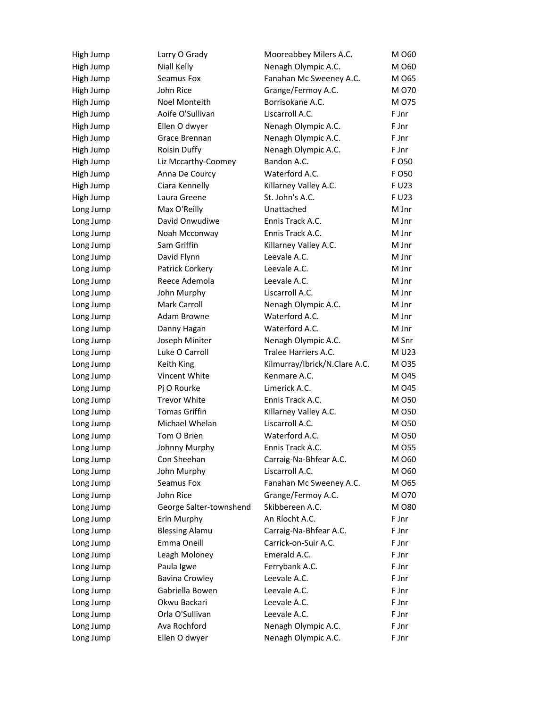| High Jump | Larry O Grady           | Mooreabbey Milers A.C.        | M 060  |
|-----------|-------------------------|-------------------------------|--------|
| High Jump | Niall Kelly             | Nenagh Olympic A.C.           | M 060  |
| High Jump | Seamus Fox              | Fanahan Mc Sweeney A.C.       | M 065  |
| High Jump | John Rice               | Grange/Fermoy A.C.            | M 070  |
| High Jump | Noel Monteith           | Borrisokane A.C.              | M 075  |
| High Jump | Aoife O'Sullivan        | Liscarroll A.C.               | F Jnr  |
| High Jump | Ellen O dwyer           | Nenagh Olympic A.C.           | F Jnr  |
| High Jump | Grace Brennan           | Nenagh Olympic A.C.           | F Jnr  |
| High Jump | Roisin Duffy            | Nenagh Olympic A.C.           | F Jnr  |
| High Jump | Liz Mccarthy-Coomey     | Bandon A.C.                   | F O 50 |
| High Jump | Anna De Courcy          | Waterford A.C.                | F O 50 |
| High Jump | Ciara Kennelly          | Killarney Valley A.C.         | F U23  |
| High Jump | Laura Greene            | St. John's A.C.               | F U23  |
| Long Jump | Max O'Reilly            | Unattached                    | M Jnr  |
| Long Jump | David Onwudiwe          | Ennis Track A.C.              | M Jnr  |
| Long Jump | Noah Mcconway           | Ennis Track A.C.              | M Jnr  |
| Long Jump | Sam Griffin             | Killarney Valley A.C.         | M Jnr  |
| Long Jump | David Flynn             | Leevale A.C.                  | M Jnr  |
| Long Jump | Patrick Corkery         | Leevale A.C.                  | M Jnr  |
| Long Jump | Reece Ademola           | Leevale A.C.                  | M Jnr  |
| Long Jump | John Murphy             | Liscarroll A.C.               | M Jnr  |
| Long Jump | Mark Carroll            | Nenagh Olympic A.C.           | M Jnr  |
| Long Jump | Adam Browne             | Waterford A.C.                | M Jnr  |
| Long Jump | Danny Hagan             | Waterford A.C.                | M Jnr  |
| Long Jump | Joseph Miniter          | Nenagh Olympic A.C.           | M Snr  |
| Long Jump | Luke O Carroll          | Tralee Harriers A.C.          | M U23  |
| Long Jump | Keith King              | Kilmurray/Ibrick/N.Clare A.C. | M 035  |
| Long Jump | Vincent White           | Kenmare A.C.                  | M 045  |
| Long Jump | Pj O Rourke             | Limerick A.C.                 | M 045  |
| Long Jump | <b>Trevor White</b>     | Ennis Track A.C.              | M 050  |
| Long Jump | <b>Tomas Griffin</b>    | Killarney Valley A.C.         | M 050  |
| Long Jump | Michael Whelan          | Liscarroll A.C.               | M 050  |
| Long Jump | Tom O Brien             | Waterford A.C.                | M 050  |
| Long Jump | Johnny Murphy           | Ennis Track A.C.              | M 055  |
| Long Jump | Con Sheehan             | Carraig-Na-Bhfear A.C.        | M 060  |
| Long Jump | John Murphy             | Liscarroll A.C.               | M 060  |
| Long Jump | Seamus Fox              | Fanahan Mc Sweeney A.C.       | M 065  |
| Long Jump | John Rice               | Grange/Fermoy A.C.            | M 070  |
| Long Jump | George Salter-townshend | Skibbereen A.C.               | M 080  |
| Long Jump | Erin Murphy             | An Ríocht A.C.                | F Jnr  |
| Long Jump | <b>Blessing Alamu</b>   | Carraig-Na-Bhfear A.C.        | F Jnr  |
| Long Jump | Emma Oneill             | Carrick-on-Suir A.C.          | F Jnr  |
| Long Jump | Leagh Moloney           | Emerald A.C.                  | F Jnr  |
| Long Jump | Paula Igwe              | Ferrybank A.C.                | F Jnr  |
| Long Jump | <b>Bavina Crowley</b>   | Leevale A.C.                  | F Jnr  |
| Long Jump | Gabriella Bowen         | Leevale A.C.                  | F Jnr  |
| Long Jump | Okwu Backari            | Leevale A.C.                  | F Jnr  |
| Long Jump | Orla O'Sullivan         | Leevale A.C.                  | F Jnr  |
| Long Jump | Ava Rochford            | Nenagh Olympic A.C.           | F Jnr  |
| Long Jump | Ellen O dwyer           | Nenagh Olympic A.C.           | F Jnr  |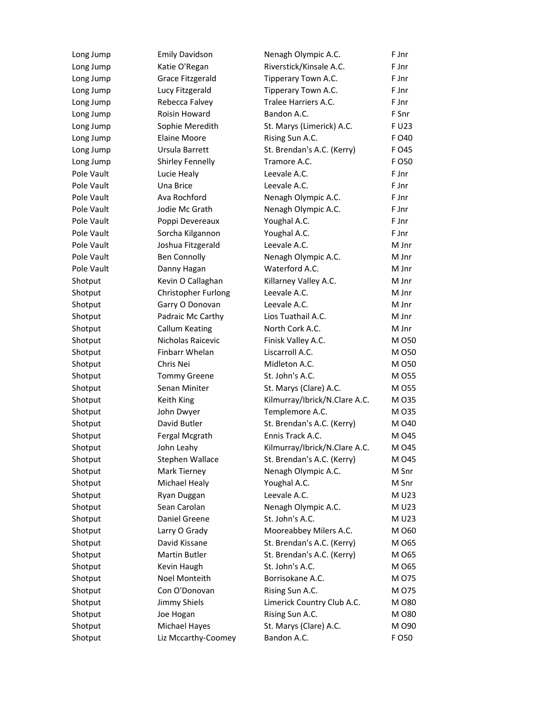| Long Jump  | <b>Emily Davidson</b> | Nenagh Olympic A.C.           | F Jnr  |
|------------|-----------------------|-------------------------------|--------|
| Long Jump  | Katie O'Regan         | Riverstick/Kinsale A.C.       | F Jnr  |
| Long Jump  | Grace Fitzgerald      | Tipperary Town A.C.           | F Jnr  |
| Long Jump  | Lucy Fitzgerald       | Tipperary Town A.C.           | F Jnr  |
| Long Jump  | Rebecca Falvey        | Tralee Harriers A.C.          | F Jnr  |
| Long Jump  | Roisin Howard         | Bandon A.C.                   | F Snr  |
| Long Jump  | Sophie Meredith       | St. Marys (Limerick) A.C.     | F U23  |
| Long Jump  | <b>Elaine Moore</b>   | Rising Sun A.C.               | F O40  |
| Long Jump  | Ursula Barrett        | St. Brendan's A.C. (Kerry)    | F O45  |
| Long Jump  | Shirley Fennelly      | Tramore A.C.                  | F O 50 |
| Pole Vault | Lucie Healy           | Leevale A.C.                  | F Jnr  |
| Pole Vault | Una Brice             | Leevale A.C.                  | F Jnr  |
| Pole Vault | Ava Rochford          | Nenagh Olympic A.C.           | F Jnr  |
| Pole Vault | Jodie Mc Grath        | Nenagh Olympic A.C.           | F Jnr  |
| Pole Vault | Poppi Devereaux       | Youghal A.C.                  | F Jnr  |
| Pole Vault | Sorcha Kilgannon      | Youghal A.C.                  | F Jnr  |
| Pole Vault | Joshua Fitzgerald     | Leevale A.C.                  | M Jnr  |
| Pole Vault | <b>Ben Connolly</b>   | Nenagh Olympic A.C.           | M Jnr  |
| Pole Vault | Danny Hagan           | Waterford A.C.                | M Jnr  |
| Shotput    | Kevin O Callaghan     | Killarney Valley A.C.         | M Jnr  |
| Shotput    | Christopher Furlong   | Leevale A.C.                  | M Jnr  |
| Shotput    | Garry O Donovan       | Leevale A.C.                  | M Jnr  |
| Shotput    | Padraic Mc Carthy     | Lios Tuathail A.C.            | M Jnr  |
| Shotput    | <b>Callum Keating</b> | North Cork A.C.               | M Jnr  |
| Shotput    | Nicholas Raicevic     | Finisk Valley A.C.            | M 050  |
| Shotput    | Finbarr Whelan        | Liscarroll A.C.               | M 050  |
| Shotput    | Chris Nei             | Midleton A.C.                 | M 050  |
| Shotput    | <b>Tommy Greene</b>   | St. John's A.C.               | M 055  |
| Shotput    | Senan Miniter         | St. Marys (Clare) A.C.        | M 055  |
| Shotput    | Keith King            | Kilmurray/Ibrick/N.Clare A.C. | M 035  |
| Shotput    | John Dwyer            | Templemore A.C.               | M 035  |
| Shotput    | David Butler          | St. Brendan's A.C. (Kerry)    | M 040  |
| Shotput    | Fergal Mcgrath        | Ennis Track A.C.              | M 045  |
| Shotput    | John Leahy            | Kilmurray/Ibrick/N.Clare A.C. | M 045  |
| Shotput    | Stephen Wallace       | St. Brendan's A.C. (Kerry)    | M 045  |
| Shotput    | Mark Tierney          | Nenagh Olympic A.C.           | M Snr  |
| Shotput    | Michael Healy         | Youghal A.C.                  | M Snr  |
| Shotput    | Ryan Duggan           | Leevale A.C.                  | M U23  |
| Shotput    | Sean Carolan          | Nenagh Olympic A.C.           | M U23  |
| Shotput    | Daniel Greene         | St. John's A.C.               | M U23  |
| Shotput    | Larry O Grady         | Mooreabbey Milers A.C.        | M 060  |
| Shotput    | David Kissane         | St. Brendan's A.C. (Kerry)    | M 065  |
| Shotput    | Martin Butler         | St. Brendan's A.C. (Kerry)    | M 065  |
| Shotput    | Kevin Haugh           | St. John's A.C.               | M 065  |
| Shotput    | Noel Monteith         | Borrisokane A.C.              | M 075  |
| Shotput    | Con O'Donovan         | Rising Sun A.C.               | M 075  |
| Shotput    | Jimmy Shiels          | Limerick Country Club A.C.    | M 080  |
| Shotput    | Joe Hogan             | Rising Sun A.C.               | M 080  |
| Shotput    | Michael Hayes         | St. Marys (Clare) A.C.        | M 090  |
| Shotput    | Liz Mccarthy-Coomey   | Bandon A.C.                   | F O 50 |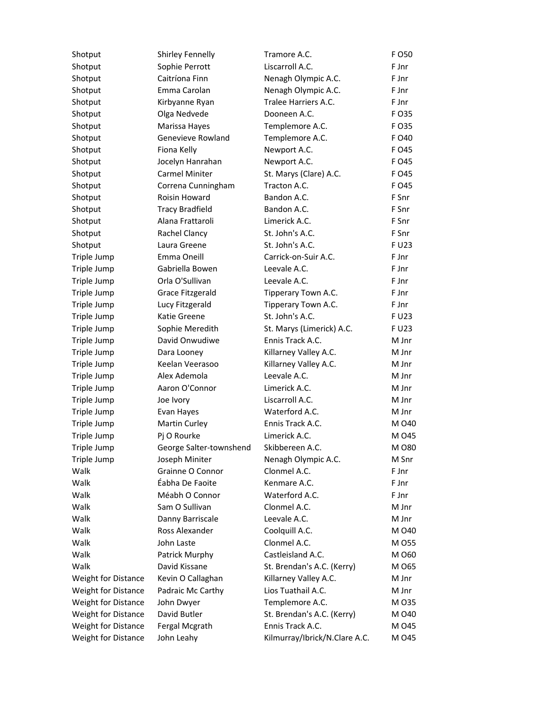| Shotput             | Shirley Fennelly        | Tramore A.C.                  | F O50 |
|---------------------|-------------------------|-------------------------------|-------|
| Shotput             | Sophie Perrott          | Liscarroll A.C.               | F Jnr |
| Shotput             | Caitríona Finn          | Nenagh Olympic A.C.           | F Jnr |
| Shotput             | Emma Carolan            | Nenagh Olympic A.C.           | F Jnr |
| Shotput             | Kirbyanne Ryan          | Tralee Harriers A.C.          | F Jnr |
| Shotput             | Olga Nedvede            | Dooneen A.C.                  | F O35 |
| Shotput             | Marissa Hayes           | Templemore A.C.               | F 035 |
| Shotput             | Genevieve Rowland       | Templemore A.C.               | F O40 |
| Shotput             | Fiona Kelly             | Newport A.C.                  | F 045 |
| Shotput             | Jocelyn Hanrahan        | Newport A.C.                  | F 045 |
| Shotput             | <b>Carmel Miniter</b>   | St. Marys (Clare) A.C.        | F 045 |
| Shotput             | Correna Cunningham      | Tracton A.C.                  | F 045 |
| Shotput             | Roisin Howard           | Bandon A.C.                   | F Snr |
| Shotput             | <b>Tracy Bradfield</b>  | Bandon A.C.                   | F Snr |
| Shotput             | Alana Frattaroli        | Limerick A.C.                 | F Snr |
| Shotput             | Rachel Clancy           | St. John's A.C.               | F Snr |
| Shotput             | Laura Greene            | St. John's A.C.               | F U23 |
| Triple Jump         | Emma Oneill             | Carrick-on-Suir A.C.          | F Jnr |
| Triple Jump         | Gabriella Bowen         | Leevale A.C.                  | F Jnr |
| Triple Jump         | Orla O'Sullivan         | Leevale A.C.                  | F Jnr |
| Triple Jump         | Grace Fitzgerald        | Tipperary Town A.C.           | F Jnr |
| Triple Jump         | Lucy Fitzgerald         | Tipperary Town A.C.           | F Jnr |
| Triple Jump         | Katie Greene            | St. John's A.C.               | F U23 |
| Triple Jump         | Sophie Meredith         | St. Marys (Limerick) A.C.     | F U23 |
| Triple Jump         | David Onwudiwe          | Ennis Track A.C.              | M Jnr |
| Triple Jump         | Dara Looney             | Killarney Valley A.C.         | M Jnr |
| Triple Jump         | Keelan Veerasoo         | Killarney Valley A.C.         | M Jnr |
| Triple Jump         | Alex Ademola            | Leevale A.C.                  | M Jnr |
| Triple Jump         | Aaron O'Connor          | Limerick A.C.                 | M Jnr |
| Triple Jump         | Joe Ivory               | Liscarroll A.C.               | M Jnr |
| Triple Jump         | Evan Hayes              | Waterford A.C.                | M Jnr |
| Triple Jump         | Martin Curley           | Ennis Track A.C.              | M 040 |
| Triple Jump         | Pj O Rourke             | Limerick A.C.                 | M 045 |
| Triple Jump         | George Salter-townshend | Skibbereen A.C.               | M 080 |
| Triple Jump         | Joseph Miniter          | Nenagh Olympic A.C.           | M Snr |
| Walk                | Grainne O Connor        | Clonmel A.C.                  | F Jnr |
| Walk                | Éabha De Faoite         | Kenmare A.C.                  | F Jnr |
| Walk                | Méabh O Connor          | Waterford A.C.                | F Jnr |
| Walk                | Sam O Sullivan          | Clonmel A.C.                  | M Jnr |
| Walk                | Danny Barriscale        | Leevale A.C.                  | M Jnr |
| Walk                | Ross Alexander          | Coolquill A.C.                | M 040 |
| Walk                | John Laste              | Clonmel A.C.                  | M 055 |
| Walk                | Patrick Murphy          | Castleisland A.C.             | M 060 |
| Walk                | David Kissane           | St. Brendan's A.C. (Kerry)    | M 065 |
| Weight for Distance | Kevin O Callaghan       | Killarney Valley A.C.         | M Jnr |
| Weight for Distance | Padraic Mc Carthy       | Lios Tuathail A.C.            | M Jnr |
| Weight for Distance | John Dwyer              | Templemore A.C.               | M 035 |
| Weight for Distance | David Butler            | St. Brendan's A.C. (Kerry)    | M 040 |
| Weight for Distance | Fergal Mcgrath          | Ennis Track A.C.              | M 045 |
| Weight for Distance | John Leahy              | Kilmurray/Ibrick/N.Clare A.C. | M 045 |
|                     |                         |                               |       |